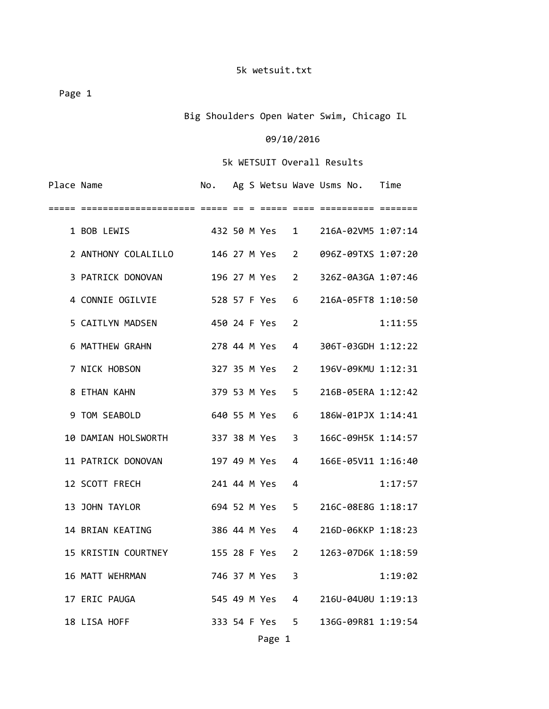Page 1

Big Shoulders Open Water Swim, Chicago IL

## 09/10/2016

## 5k WETSUIT Overall Results

| Place Name |                                    | No.          |  |                |                | Ag S Wetsu Wave Usms No. | Time    |
|------------|------------------------------------|--------------|--|----------------|----------------|--------------------------|---------|
| =====      |                                    |              |  |                |                |                          |         |
|            | 1 BOB LEWIS                        |              |  | 432 50 M Yes 1 |                | 216A-02VM5 1:07:14       |         |
|            | 2 ANTHONY COLALILLO 146 27 M Yes 2 |              |  |                |                | 096Z-09TXS 1:07:20       |         |
|            | 3 PATRICK DONOVAN                  |              |  | 196 27 M Yes 2 |                | 326Z-0A3GA 1:07:46       |         |
|            | 4 CONNIE OGILVIE                   |              |  | 528 57 F Yes 6 |                | 216A-05FT8 1:10:50       |         |
|            | 5 CAITLYN MADSEN                   | 450 24 F Yes |  |                | $\overline{2}$ |                          | 1:11:55 |
|            | 6 MATTHEW GRAHN                    |              |  | 278 44 M Yes 4 |                | 306T-03GDH 1:12:22       |         |
|            | 7 NICK HOBSON                      |              |  | 327 35 M Yes 2 |                | 196V-09KMU 1:12:31       |         |
|            | 8 ETHAN KAHN                       |              |  | 379 53 M Yes   | 5              | 216B-05ERA 1:12:42       |         |
|            | 9 TOM SEABOLD                      | 640 55 M Yes |  |                | 6              | 186W-01PJX 1:14:41       |         |
|            | 10 DAMIAN HOLSWORTH                | 337 38 M Yes |  |                | 3              | 166C-09H5K 1:14:57       |         |
|            | 11 PATRICK DONOVAN                 | 197 49 M Yes |  |                | 4              | 166E-05V11 1:16:40       |         |
|            | 12 SCOTT FRECH                     | 241 44 M Yes |  |                | 4              |                          | 1:17:57 |
|            | 13 JOHN TAYLOR                     |              |  | 694 52 M Yes 5 |                | 216C-08E8G 1:18:17       |         |
|            | 14 BRIAN KEATING                   |              |  | 386 44 M Yes 4 |                | 216D-06KKP 1:18:23       |         |
|            | 15 KRISTIN COURTNEY                |              |  | 155 28 F Yes   | 2              | 1263-07D6K 1:18:59       |         |
|            | 16 MATT WEHRMAN                    |              |  | 746 37 M Yes   | 3              |                          | 1:19:02 |
|            | 17 ERIC PAUGA                      |              |  | 545 49 M Yes   | 4              | 216U-04U0U 1:19:13       |         |
|            | 18 LISA HOFF                       |              |  | 333 54 F Yes 5 |                | 136G-09R81 1:19:54       |         |
|            |                                    |              |  |                |                |                          |         |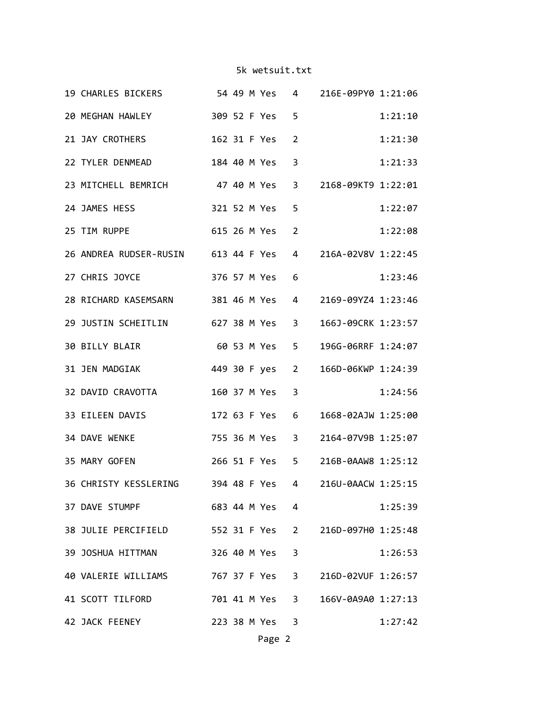| 20 MEGHAN HAWLEY<br>309 52 F Yes<br>5<br>21 JAY CROTHERS<br>162 31 F Yes<br>2<br>22 TYLER DENMEAD<br>184 40 M Yes<br>3<br>23 MITCHELL BEMRICH 47 40 M Yes<br>3 2168-09KT9 1:22:01<br>321 52 M Yes<br>24 JAMES HESS<br>5<br>615 26 M Yes<br>25 TIM RUPPE<br>2<br>26 ANDREA RUDSER-RUSIN 613 44 F Yes<br>4 216A-02V8V 1:22:45<br>27 CHRIS JOYCE<br>376 57 M Yes<br>6<br>28 RICHARD KASEMSARN 381 46 M Yes<br>$4 \quad$<br>2169-09YZ4 1:23:46<br>29 JUSTIN SCHEITLIN 627 38 M Yes<br>166J-09CRK 1:23:57<br>$3^{\circ}$<br>60 53 M Yes<br>30 BILLY BLAIR<br>196G-06RRF 1:24:07<br>5<br>31 JEN MADGIAK<br>449 30 F yes 2<br>166D-06KWP 1:24:39<br>160 37 M Yes<br>3<br>32 DAVID CRAVOTTA<br>33 EILEEN DAVIS<br>172 63 F Yes<br>6<br>1668-02AJW 1:25:00<br>34 DAVE WENKE<br>755 36 M Yes 3<br>2164-07V9B 1:25:07<br>266 51 F Yes 5<br>216B-0AAW8 1:25:12<br>35 MARY GOFEN<br>36 CHRISTY KESSLERING 394 48 F Yes<br>4 216U-0AACW 1:25:15<br>683 44 M Yes 4<br>37 DAVE STUMPF<br>38 JULIE PERCIFIELD 552 31 F Yes 2 216D-097H0 1:25:48<br>39 JOSHUA HITTMAN<br>326 40 M Yes<br>3<br>40 VALERIE WILLIAMS 767 37 F Yes 3 216D-02VUF 1:26:57<br>41 SCOTT TILFORD 701 41 M Yes 3 166V-0A9A0 1:27:13<br>42 JACK FEENEY<br>223 38 M Yes 3 |  | 19 CHARLES BICKERS 54 49 M Yes |  |  | 4 216E-09PY0 1:21:06 |         |
|-----------------------------------------------------------------------------------------------------------------------------------------------------------------------------------------------------------------------------------------------------------------------------------------------------------------------------------------------------------------------------------------------------------------------------------------------------------------------------------------------------------------------------------------------------------------------------------------------------------------------------------------------------------------------------------------------------------------------------------------------------------------------------------------------------------------------------------------------------------------------------------------------------------------------------------------------------------------------------------------------------------------------------------------------------------------------------------------------------------------------------------------------------------------------------------------------------------------------------|--|--------------------------------|--|--|----------------------|---------|
|                                                                                                                                                                                                                                                                                                                                                                                                                                                                                                                                                                                                                                                                                                                                                                                                                                                                                                                                                                                                                                                                                                                                                                                                                             |  |                                |  |  |                      | 1:21:10 |
|                                                                                                                                                                                                                                                                                                                                                                                                                                                                                                                                                                                                                                                                                                                                                                                                                                                                                                                                                                                                                                                                                                                                                                                                                             |  |                                |  |  |                      | 1:21:30 |
|                                                                                                                                                                                                                                                                                                                                                                                                                                                                                                                                                                                                                                                                                                                                                                                                                                                                                                                                                                                                                                                                                                                                                                                                                             |  |                                |  |  |                      | 1:21:33 |
|                                                                                                                                                                                                                                                                                                                                                                                                                                                                                                                                                                                                                                                                                                                                                                                                                                                                                                                                                                                                                                                                                                                                                                                                                             |  |                                |  |  |                      |         |
|                                                                                                                                                                                                                                                                                                                                                                                                                                                                                                                                                                                                                                                                                                                                                                                                                                                                                                                                                                                                                                                                                                                                                                                                                             |  |                                |  |  |                      | 1:22:07 |
|                                                                                                                                                                                                                                                                                                                                                                                                                                                                                                                                                                                                                                                                                                                                                                                                                                                                                                                                                                                                                                                                                                                                                                                                                             |  |                                |  |  |                      | 1:22:08 |
|                                                                                                                                                                                                                                                                                                                                                                                                                                                                                                                                                                                                                                                                                                                                                                                                                                                                                                                                                                                                                                                                                                                                                                                                                             |  |                                |  |  |                      |         |
|                                                                                                                                                                                                                                                                                                                                                                                                                                                                                                                                                                                                                                                                                                                                                                                                                                                                                                                                                                                                                                                                                                                                                                                                                             |  |                                |  |  |                      | 1:23:46 |
|                                                                                                                                                                                                                                                                                                                                                                                                                                                                                                                                                                                                                                                                                                                                                                                                                                                                                                                                                                                                                                                                                                                                                                                                                             |  |                                |  |  |                      |         |
|                                                                                                                                                                                                                                                                                                                                                                                                                                                                                                                                                                                                                                                                                                                                                                                                                                                                                                                                                                                                                                                                                                                                                                                                                             |  |                                |  |  |                      |         |
|                                                                                                                                                                                                                                                                                                                                                                                                                                                                                                                                                                                                                                                                                                                                                                                                                                                                                                                                                                                                                                                                                                                                                                                                                             |  |                                |  |  |                      |         |
|                                                                                                                                                                                                                                                                                                                                                                                                                                                                                                                                                                                                                                                                                                                                                                                                                                                                                                                                                                                                                                                                                                                                                                                                                             |  |                                |  |  |                      |         |
|                                                                                                                                                                                                                                                                                                                                                                                                                                                                                                                                                                                                                                                                                                                                                                                                                                                                                                                                                                                                                                                                                                                                                                                                                             |  |                                |  |  |                      | 1:24:56 |
|                                                                                                                                                                                                                                                                                                                                                                                                                                                                                                                                                                                                                                                                                                                                                                                                                                                                                                                                                                                                                                                                                                                                                                                                                             |  |                                |  |  |                      |         |
|                                                                                                                                                                                                                                                                                                                                                                                                                                                                                                                                                                                                                                                                                                                                                                                                                                                                                                                                                                                                                                                                                                                                                                                                                             |  |                                |  |  |                      |         |
|                                                                                                                                                                                                                                                                                                                                                                                                                                                                                                                                                                                                                                                                                                                                                                                                                                                                                                                                                                                                                                                                                                                                                                                                                             |  |                                |  |  |                      |         |
|                                                                                                                                                                                                                                                                                                                                                                                                                                                                                                                                                                                                                                                                                                                                                                                                                                                                                                                                                                                                                                                                                                                                                                                                                             |  |                                |  |  |                      |         |
|                                                                                                                                                                                                                                                                                                                                                                                                                                                                                                                                                                                                                                                                                                                                                                                                                                                                                                                                                                                                                                                                                                                                                                                                                             |  |                                |  |  |                      | 1:25:39 |
|                                                                                                                                                                                                                                                                                                                                                                                                                                                                                                                                                                                                                                                                                                                                                                                                                                                                                                                                                                                                                                                                                                                                                                                                                             |  |                                |  |  |                      |         |
|                                                                                                                                                                                                                                                                                                                                                                                                                                                                                                                                                                                                                                                                                                                                                                                                                                                                                                                                                                                                                                                                                                                                                                                                                             |  |                                |  |  |                      | 1:26:53 |
|                                                                                                                                                                                                                                                                                                                                                                                                                                                                                                                                                                                                                                                                                                                                                                                                                                                                                                                                                                                                                                                                                                                                                                                                                             |  |                                |  |  |                      |         |
|                                                                                                                                                                                                                                                                                                                                                                                                                                                                                                                                                                                                                                                                                                                                                                                                                                                                                                                                                                                                                                                                                                                                                                                                                             |  |                                |  |  |                      |         |
|                                                                                                                                                                                                                                                                                                                                                                                                                                                                                                                                                                                                                                                                                                                                                                                                                                                                                                                                                                                                                                                                                                                                                                                                                             |  |                                |  |  |                      | 1:27:42 |

Page 2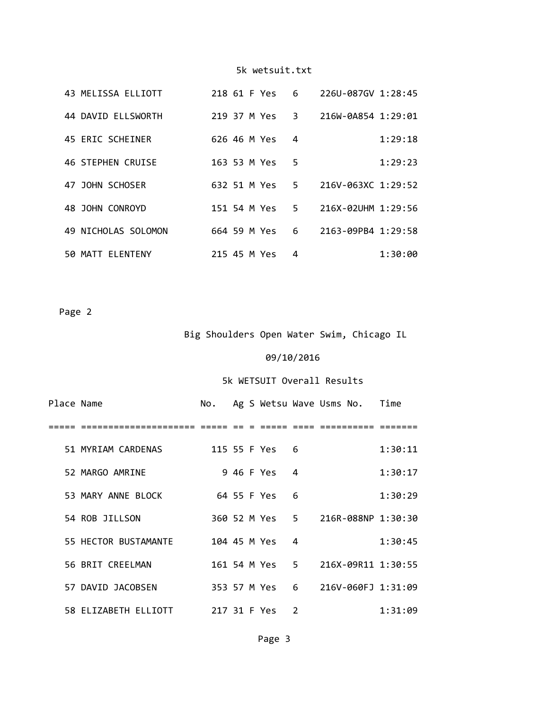|  | 43 MELISSA ELLIOTT  | 218 61 F Yes |  |              | 6  | 226U-087GV 1:28:45 |         |
|--|---------------------|--------------|--|--------------|----|--------------------|---------|
|  | 44 DAVID ELLSWORTH  |              |  | 219 37 M Yes | 3  | 216W-0A854 1:29:01 |         |
|  | 45 ERIC SCHEINER    | 626 46 M Yes |  |              | 4  |                    | 1:29:18 |
|  | 46 STEPHEN CRUISE   | 163 53 M Yes |  |              | 5. |                    | 1:29:23 |
|  | 47 JOHN SCHOSER     | 632 51 M Yes |  |              | 5. | 216V-063XC 1:29:52 |         |
|  | 48 JOHN CONROYD     | 151 54 M Yes |  |              | 5. | 216X-02UHM 1:29:56 |         |
|  | 49 NICHOLAS SOLOMON | 664 59 M Yes |  |              | 6  | 2163-09PB4 1:29:58 |         |
|  | 50 MATT FLENTENY    | 215 45 M Yes |  |              | 4  |                    | 1:30:00 |

Page 2

Big Shoulders Open Water Swim, Chicago IL

# 09/10/2016

# 5k WETSUIT Overall Results

| Place Name |                      | No.          |  |                |     | Ag S Wetsu Wave Usms No. Time     |         |
|------------|----------------------|--------------|--|----------------|-----|-----------------------------------|---------|
|            |                      |              |  |                |     |                                   |         |
|            | 51 MYRIAM CARDENAS   |              |  | 115 55 F Yes 6 |     |                                   | 1:30:11 |
|            | 52 MARGO AMRINE      |              |  | 946 F Yes 4    |     |                                   | 1:30:17 |
|            | 53 MARY ANNE BLOCK   |              |  | 64 55 F Yes    | 6   |                                   | 1:30:29 |
|            | 54 ROB JILLSON       |              |  |                |     | 360 52 M Yes 5 216R-088NP 1:30:30 |         |
|            | 55 HECTOR BUSTAMANTE | 104 45 M Yes |  |                | 4   |                                   | 1:30:45 |
|            | 56 BRIT CREELMAN     |              |  | 161 54 M Yes 5 |     | 216X-09R11 1:30:55                |         |
|            | 57 DAVID JACOBSEN    |              |  | 353 57 M Yes   | - 6 | 216V-060FJ 1:31:09                |         |
|            | 58 ELIZABETH ELLIOTT | 217 31 F Yes |  |                | 2   |                                   | 1:31:09 |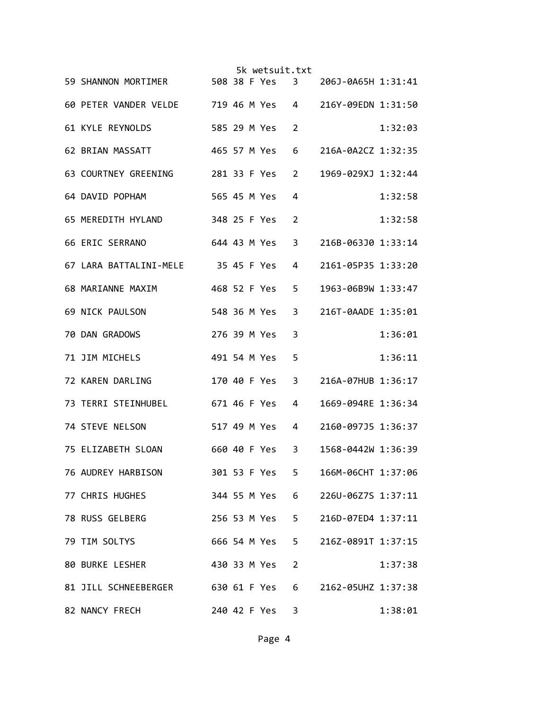|                                                         |  | 5k wetsuit.txt |                         |                    |         |
|---------------------------------------------------------|--|----------------|-------------------------|--------------------|---------|
| 59 SHANNON MORTIMER 508 38 F Yes                        |  |                | $\overline{\mathbf{3}}$ | 206J-0A65H 1:31:41 |         |
| 60 PETER VANDER VELDE 719 46 M Yes 4 216Y-09EDN 1:31:50 |  |                |                         |                    |         |
| <b>61 KYLE REYNOLDS</b>                                 |  | 585 29 M Yes   | 2                       |                    | 1:32:03 |
| 62 BRIAN MASSATT                                        |  | 465 57 M Yes   | 6                       | 216A-0A2CZ 1:32:35 |         |
| 63 COURTNEY GREENING<br>281 33 F Yes                    |  |                | $\overline{2}$          | 1969-029XJ 1:32:44 |         |
| 64 DAVID POPHAM                                         |  | 565 45 M Yes   | 4                       |                    | 1:32:58 |
| 65 MEREDITH HYLAND                                      |  | 348 25 F Yes   | 2                       |                    | 1:32:58 |
| 66 ERIC SERRANO                                         |  | 644 43 M Yes   | 3                       | 216B-063J0 1:33:14 |         |
| 67 LARA BATTALINI-MELE 35 45 F Yes                      |  |                | 4                       | 2161-05P35 1:33:20 |         |
| 68 MARIANNE MAXIM                                       |  | 468 52 F Yes   | 5                       | 1963-06B9W 1:33:47 |         |
| 69 NICK PAULSON                                         |  | 548 36 M Yes   | 3                       | 216T-0AADE 1:35:01 |         |
| 70 DAN GRADOWS                                          |  | 276 39 M Yes   | 3                       |                    | 1:36:01 |
| 71 JIM MICHELS                                          |  | 491 54 M Yes   | 5                       |                    | 1:36:11 |
| 72 KAREN DARLING                                        |  | 170 40 F Yes   | 3                       | 216A-07HUB 1:36:17 |         |
| 73 TERRI STEINHUBEL<br>671 46 F Yes                     |  |                | 4                       | 1669-094RE 1:36:34 |         |
| 74 STEVE NELSON<br>517 49 M Yes                         |  |                | 4                       | 2160-097J5 1:36:37 |         |
| 75 ELIZABETH SLOAN<br>660 40 F Yes                      |  |                | 3                       | 1568-0442W 1:36:39 |         |
| 76 AUDREY HARBISON                                      |  | 301 53 F Yes   | 5                       | 166M-06CHT 1:37:06 |         |
| 77 CHRIS HUGHES                                         |  | 344 55 M Yes   | 6                       | 226U-06Z7S 1:37:11 |         |
| 78 RUSS GELBERG                                         |  | 256 53 M Yes 5 |                         | 216D-07ED4 1:37:11 |         |
| 79 TIM SOLTYS                                           |  | 666 54 M Yes   | 5.                      | 216Z-0891T 1:37:15 |         |
| 80 BURKE LESHER                                         |  | 430 33 M Yes   | $\overline{2}$          |                    | 1:37:38 |
| 81 JILL SCHNEEBERGER 630 61 F Yes                       |  |                | 6                       | 2162-05UHZ 1:37:38 |         |
| 82 NANCY FRECH                                          |  | 240 42 F Yes   | 3                       |                    | 1:38:01 |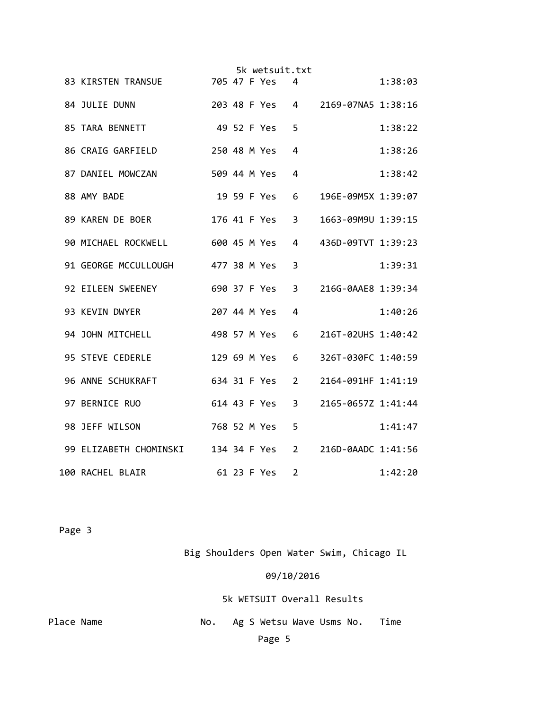|                                     |              |  | 5k wetsuit.txt |                |                    |         |
|-------------------------------------|--------------|--|----------------|----------------|--------------------|---------|
| 83 KIRSTEN TRANSUE                  | 705 47 F Yes |  |                | 4              |                    | 1:38:03 |
| 84 JULIE DUNN                       |              |  | 203 48 F Yes 4 |                | 2169-07NA5 1:38:16 |         |
| 85 TARA BENNETT<br>49 52 F Yes      |              |  |                | 5              |                    | 1:38:22 |
| 86 CRAIG GARFIELD                   |              |  | 250 48 M Yes   | 4              |                    | 1:38:26 |
| 87 DANIEL MOWCZAN                   |              |  | 509 44 M Yes   | 4              |                    | 1:38:42 |
| 88 AMY BADE                         |              |  | 19 59 F Yes    | 6              | 196E-09M5X 1:39:07 |         |
| 89 KAREN DE BOER                    |              |  | 176 41 F Yes   | 3              | 1663-09M9U 1:39:15 |         |
| 90 MICHAEL ROCKWELL                 |              |  | 600 45 M Yes   | 4              | 436D-09TVT 1:39:23 |         |
| 91 GEORGE MCCULLOUGH 477 38 M Yes   |              |  |                | 3              |                    | 1:39:31 |
| 92 EILEEN SWEENEY                   |              |  | 690 37 F Yes   | 3              | 216G-0AAE8 1:39:34 |         |
| 93 KEVIN DWYER                      |              |  | 207 44 M Yes   | 4              |                    | 1:40:26 |
| 94 JOHN MITCHELL                    |              |  | 498 57 M Yes   | 6              | 216T-02UHS 1:40:42 |         |
| 95 STEVE CEDERLE                    |              |  | 129 69 M Yes   | 6              | 326T-030FC 1:40:59 |         |
| 96 ANNE SCHUKRAFT                   |              |  | 634 31 F Yes   | 2              | 2164-091HF 1:41:19 |         |
| 97 BERNICE RUO                      |              |  | 614 43 F Yes   | 3              | 2165-0657Z 1:41:44 |         |
| 98 JEFF WILSON                      |              |  | 768 52 M Yes   | 5              |                    | 1:41:47 |
| 99 ELIZABETH CHOMINSKI 134 34 F Yes |              |  |                | 2              | 216D-0AADC 1:41:56 |         |
| 100 RACHEL BLAIR                    |              |  | 61 23 F Yes    | $\overline{2}$ |                    | 1:42:20 |

Page 3

Big Shoulders Open Water Swim, Chicago IL

09/10/2016

5k WETSUIT Overall Results

Place Name **1988** No. Ag S Wetsu Wave Usms No. Time Page 5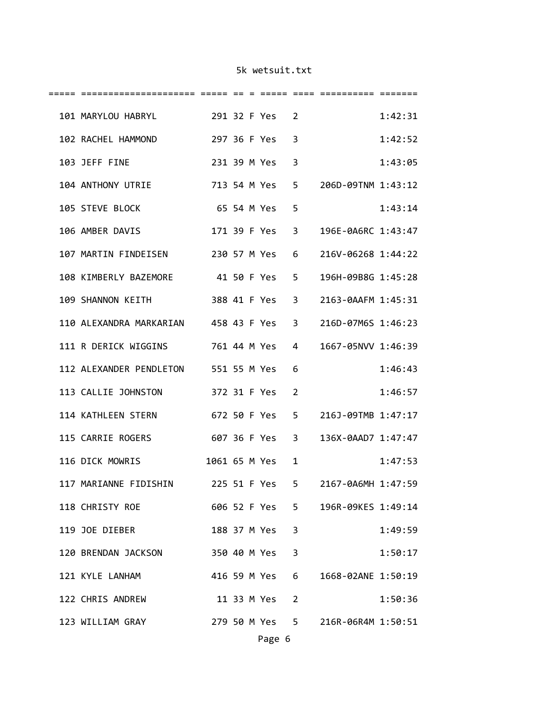| 101 MARYLOU HABRYL 291 32 F Yes                   |              |  |                | 2              |                                   | 1:42:31 |
|---------------------------------------------------|--------------|--|----------------|----------------|-----------------------------------|---------|
| 102 RACHEL HAMMOND                                |              |  | 297 36 F Yes   | 3              |                                   | 1:42:52 |
| 103 JEFF FINE                                     |              |  | 231 39 M Yes   | 3              |                                   | 1:43:05 |
| 104 ANTHONY UTRIE<br>713 54 M Yes                 |              |  |                | 5              | 206D-09TNM 1:43:12                |         |
| 105 STEVE BLOCK                                   |              |  | 65 54 M Yes    | 5              |                                   | 1:43:14 |
| 106 AMBER DAVIS                                   |              |  | 171 39 F Yes   | $\overline{3}$ | 196E-0A6RC 1:43:47                |         |
| 107 MARTIN FINDEISEN 230 57 M Yes                 |              |  |                | 6              | 216V-06268 1:44:22                |         |
| 108 KIMBERLY BAZEMORE 41 50 F Yes 5               |              |  |                |                | 196H-09B8G 1:45:28                |         |
| 109 SHANNON KEITH                                 |              |  | 388 41 F Yes   | $\overline{3}$ | 2163-0AAFM 1:45:31                |         |
| 110 ALEXANDRA MARKARIAN 458 43 F Yes              |              |  |                | $\overline{3}$ | 216D-07M6S 1:46:23                |         |
| 111 R DERICK WIGGINS 761 44 M Yes                 |              |  |                | 4              | 1667-05NVV 1:46:39                |         |
| 112 ALEXANDER PENDLETON 551 55 M Yes              |              |  |                | 6              |                                   | 1:46:43 |
| 113 CALLIE JOHNSTON 372 31 F Yes                  |              |  |                | $\overline{2}$ |                                   | 1:46:57 |
| 114 KATHLEEN STERN                                | 672 50 F Yes |  |                | 5              | 216J-09TMB 1:47:17                |         |
| 115 CARRIE ROGERS<br>607 36 F Yes 3               |              |  |                |                | 136X-0AAD7 1:47:47                |         |
| 116 DICK MOWRIS                                   |              |  | 1061 65 M Yes  | $\mathbf{1}$   |                                   | 1:47:53 |
| 117 MARIANNE FIDISHIN                             |              |  | 225 51 F Yes   | $5 -$          | 2167-0A6MH 1:47:59                |         |
| 118 CHRISTY ROE 606 52 F Yes 5 196R-09KES 1:49:14 |              |  |                |                |                                   |         |
| 119 JOE DIEBER                                    |              |  | 188 37 M Yes 3 |                |                                   | 1:49:59 |
| 120 BRENDAN JACKSON                               |              |  | 350 40 M Yes 3 |                |                                   | 1:50:17 |
| 121 KYLE LANHAM                                   |              |  | 416 59 M Yes 6 |                | 1668-02ANE 1:50:19                |         |
| 122 CHRIS ANDREW                                  |              |  | 11 33 M Yes 2  |                |                                   | 1:50:36 |
| 123 WILLIAM GRAY                                  |              |  |                |                | 279 50 M Yes 5 216R-06R4M 1:50:51 |         |
|                                                   |              |  | Page 6         |                |                                   |         |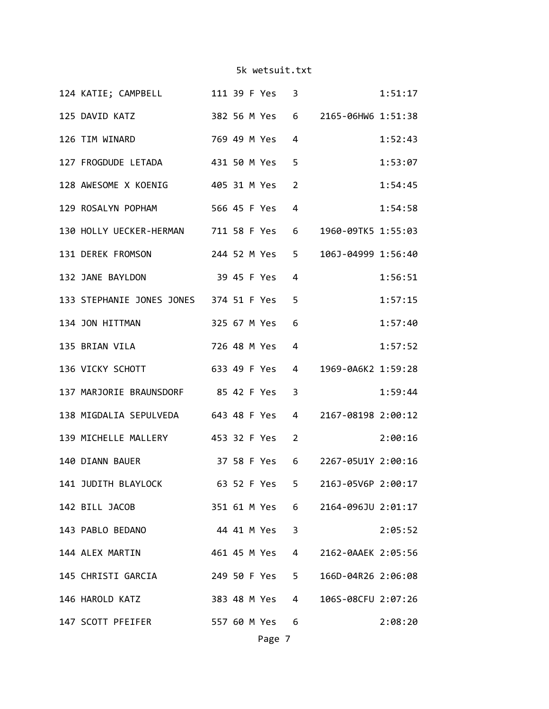| 125 DAVID KATZ 382 56 M Yes 6 2165-06HW6 1:51:38<br>126 TIM WINARD<br>769 49 M Yes<br>4<br>127 FROGDUDE LETADA 431 50 M Yes<br>5<br>128 AWESOME X KOENIG 405 31 M Yes<br>$\overline{2}$<br>129 ROSALYN POPHAM 566 45 F Yes<br>$\overline{4}$<br>130 HOLLY UECKER-HERMAN 711 58 F Yes 6 1960-09TK5 1:55:03<br>131 DEREK FROMSON 244 52 M Yes 5 106J-04999 1:56:40<br>132 JANE BAYLDON 39 45 F Yes<br>$\overline{4}$<br>133 STEPHANIE JONES JONES 374 51 F Yes<br>5<br>134 JON HITTMAN 325 67 M Yes<br>6<br>135 BRIAN VILA 726 48 M Yes<br>4<br>136 VICKY SCHOTT 633 49 F Yes<br>4 1969-0A6K2 1:59:28<br>137 MARJORIE BRAUNSDORF 85 42 F Yes<br>$\overline{3}$<br>138 MIGDALIA SEPULVEDA 643 48 F Yes<br>4 2167-08198 2:00:12<br>139 MICHELLE MALLERY 453 32 F Yes 2<br>140 DIANN BAUER 37 58 F Yes 6 2267-05U1Y 2:00:16<br>141 JUDITH BLAYLOCK 63 52 F Yes 5 216J-05V6P 2:00:17<br>142 BILL JACOB<br>351 61 M Yes 6 2164-096JU 2:01:17<br>44 41 M Yes 3<br>143 PABLO BEDANO<br>144 ALEX MARTIN<br>461 45 M Yes<br>$\overline{4}$<br>2162-0AAEK 2:05:56<br>145 CHRISTI GARCIA 249 50 F Yes 5<br>166D-04R26 2:06:08<br>146 HAROLD KATZ<br>383 48 M Yes 4 106S-08CFU 2:07:26<br>147 SCOTT PFEIFER 557 60 M Yes 6 |  | 124 KATIE; CAMPBELL 111 39 F Yes 3 |  |  |  | 1:51:17 |
|--------------------------------------------------------------------------------------------------------------------------------------------------------------------------------------------------------------------------------------------------------------------------------------------------------------------------------------------------------------------------------------------------------------------------------------------------------------------------------------------------------------------------------------------------------------------------------------------------------------------------------------------------------------------------------------------------------------------------------------------------------------------------------------------------------------------------------------------------------------------------------------------------------------------------------------------------------------------------------------------------------------------------------------------------------------------------------------------------------------------------------------------------------------------------------------------------------------|--|------------------------------------|--|--|--|---------|
|                                                                                                                                                                                                                                                                                                                                                                                                                                                                                                                                                                                                                                                                                                                                                                                                                                                                                                                                                                                                                                                                                                                                                                                                              |  |                                    |  |  |  |         |
|                                                                                                                                                                                                                                                                                                                                                                                                                                                                                                                                                                                                                                                                                                                                                                                                                                                                                                                                                                                                                                                                                                                                                                                                              |  |                                    |  |  |  | 1:52:43 |
|                                                                                                                                                                                                                                                                                                                                                                                                                                                                                                                                                                                                                                                                                                                                                                                                                                                                                                                                                                                                                                                                                                                                                                                                              |  |                                    |  |  |  | 1:53:07 |
|                                                                                                                                                                                                                                                                                                                                                                                                                                                                                                                                                                                                                                                                                                                                                                                                                                                                                                                                                                                                                                                                                                                                                                                                              |  |                                    |  |  |  | 1:54:45 |
|                                                                                                                                                                                                                                                                                                                                                                                                                                                                                                                                                                                                                                                                                                                                                                                                                                                                                                                                                                                                                                                                                                                                                                                                              |  |                                    |  |  |  | 1:54:58 |
|                                                                                                                                                                                                                                                                                                                                                                                                                                                                                                                                                                                                                                                                                                                                                                                                                                                                                                                                                                                                                                                                                                                                                                                                              |  |                                    |  |  |  |         |
|                                                                                                                                                                                                                                                                                                                                                                                                                                                                                                                                                                                                                                                                                                                                                                                                                                                                                                                                                                                                                                                                                                                                                                                                              |  |                                    |  |  |  |         |
|                                                                                                                                                                                                                                                                                                                                                                                                                                                                                                                                                                                                                                                                                                                                                                                                                                                                                                                                                                                                                                                                                                                                                                                                              |  |                                    |  |  |  | 1:56:51 |
|                                                                                                                                                                                                                                                                                                                                                                                                                                                                                                                                                                                                                                                                                                                                                                                                                                                                                                                                                                                                                                                                                                                                                                                                              |  |                                    |  |  |  | 1:57:15 |
|                                                                                                                                                                                                                                                                                                                                                                                                                                                                                                                                                                                                                                                                                                                                                                                                                                                                                                                                                                                                                                                                                                                                                                                                              |  |                                    |  |  |  | 1:57:40 |
|                                                                                                                                                                                                                                                                                                                                                                                                                                                                                                                                                                                                                                                                                                                                                                                                                                                                                                                                                                                                                                                                                                                                                                                                              |  |                                    |  |  |  | 1:57:52 |
|                                                                                                                                                                                                                                                                                                                                                                                                                                                                                                                                                                                                                                                                                                                                                                                                                                                                                                                                                                                                                                                                                                                                                                                                              |  |                                    |  |  |  |         |
|                                                                                                                                                                                                                                                                                                                                                                                                                                                                                                                                                                                                                                                                                                                                                                                                                                                                                                                                                                                                                                                                                                                                                                                                              |  |                                    |  |  |  | 1:59:44 |
|                                                                                                                                                                                                                                                                                                                                                                                                                                                                                                                                                                                                                                                                                                                                                                                                                                                                                                                                                                                                                                                                                                                                                                                                              |  |                                    |  |  |  |         |
|                                                                                                                                                                                                                                                                                                                                                                                                                                                                                                                                                                                                                                                                                                                                                                                                                                                                                                                                                                                                                                                                                                                                                                                                              |  |                                    |  |  |  | 2:00:16 |
|                                                                                                                                                                                                                                                                                                                                                                                                                                                                                                                                                                                                                                                                                                                                                                                                                                                                                                                                                                                                                                                                                                                                                                                                              |  |                                    |  |  |  |         |
|                                                                                                                                                                                                                                                                                                                                                                                                                                                                                                                                                                                                                                                                                                                                                                                                                                                                                                                                                                                                                                                                                                                                                                                                              |  |                                    |  |  |  |         |
|                                                                                                                                                                                                                                                                                                                                                                                                                                                                                                                                                                                                                                                                                                                                                                                                                                                                                                                                                                                                                                                                                                                                                                                                              |  |                                    |  |  |  |         |
|                                                                                                                                                                                                                                                                                                                                                                                                                                                                                                                                                                                                                                                                                                                                                                                                                                                                                                                                                                                                                                                                                                                                                                                                              |  |                                    |  |  |  | 2:05:52 |
|                                                                                                                                                                                                                                                                                                                                                                                                                                                                                                                                                                                                                                                                                                                                                                                                                                                                                                                                                                                                                                                                                                                                                                                                              |  |                                    |  |  |  |         |
|                                                                                                                                                                                                                                                                                                                                                                                                                                                                                                                                                                                                                                                                                                                                                                                                                                                                                                                                                                                                                                                                                                                                                                                                              |  |                                    |  |  |  |         |
|                                                                                                                                                                                                                                                                                                                                                                                                                                                                                                                                                                                                                                                                                                                                                                                                                                                                                                                                                                                                                                                                                                                                                                                                              |  |                                    |  |  |  |         |
|                                                                                                                                                                                                                                                                                                                                                                                                                                                                                                                                                                                                                                                                                                                                                                                                                                                                                                                                                                                                                                                                                                                                                                                                              |  |                                    |  |  |  | 2:08:20 |